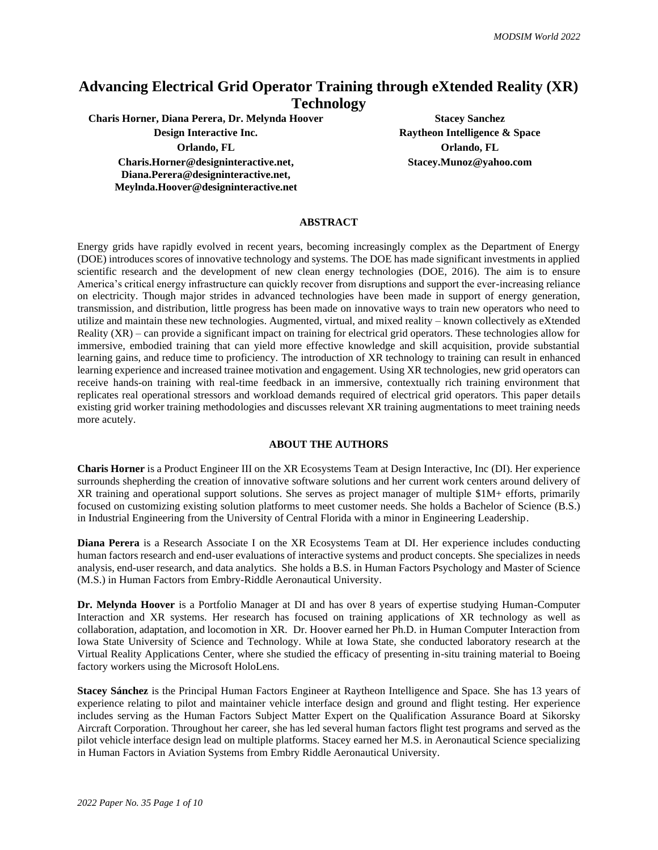## **Advancing Electrical Grid Operator Training through eXtended Reality (XR) Technology**

**Charis Horner, Diana Perera, Dr. Melynda Hoover Stacey Sanchez**

**Orlando, FL Orlando, FL Charis.Horner@designinteractive.net, Diana.Perera@designinteractive.net, Meylnda.Hoover@designinteractive.net**

**Design Interactive Inc. Raytheon Intelligence & Space Stacey.Munoz@yahoo.com**

#### **ABSTRACT**

Energy grids have rapidly evolved in recent years, becoming increasingly complex as the Department of Energy (DOE) introduces scores of innovative technology and systems. The DOE has made significant investments in applied scientific research and the development of new clean energy technologies (DOE, 2016). The aim is to ensure America's critical energy infrastructure can quickly recover from disruptions and support the ever-increasing reliance on electricity. Though major strides in advanced technologies have been made in support of energy generation, transmission, and distribution, little progress has been made on innovative ways to train new operators who need to utilize and maintain these new technologies. Augmented, virtual, and mixed reality – known collectively as eXtended Reality (XR) – can provide a significant impact on training for electrical grid operators. These technologies allow for immersive, embodied training that can yield more effective knowledge and skill acquisition, provide substantial learning gains, and reduce time to proficiency. The introduction of XR technology to training can result in enhanced learning experience and increased trainee motivation and engagement. Using XR technologies, new grid operators can receive hands-on training with real-time feedback in an immersive, contextually rich training environment that replicates real operational stressors and workload demands required of electrical grid operators. This paper details existing grid worker training methodologies and discusses relevant XR training augmentations to meet training needs more acutely.

#### **ABOUT THE AUTHORS**

**Charis Horner** is a Product Engineer III on the XR Ecosystems Team at Design Interactive, Inc (DI). Her experience surrounds shepherding the creation of innovative software solutions and her current work centers around delivery of XR training and operational support solutions. She serves as project manager of multiple \$1M+ efforts, primarily focused on customizing existing solution platforms to meet customer needs. She holds a Bachelor of Science (B.S.) in Industrial Engineering from the University of Central Florida with a minor in Engineering Leadership.

**Diana Perera** is a Research Associate I on the XR Ecosystems Team at DI. Her experience includes conducting human factors research and end-user evaluations of interactive systems and product concepts. She specializes in needs analysis, end-user research, and data analytics. She holds a B.S. in Human Factors Psychology and Master of Science (M.S.) in Human Factors from Embry-Riddle Aeronautical University.

**Dr. Melynda Hoover** is a Portfolio Manager at DI and has over 8 years of expertise studying Human-Computer Interaction and XR systems. Her research has focused on training applications of XR technology as well as collaboration, adaptation, and locomotion in XR. Dr. Hoover earned her Ph.D. in Human Computer Interaction from Iowa State University of Science and Technology. While at Iowa State, she conducted laboratory research at the Virtual Reality Applications Center, where she studied the efficacy of presenting in-situ training material to Boeing factory workers using the Microsoft HoloLens.

**Stacey Sánchez** is the Principal Human Factors Engineer at Raytheon Intelligence and Space. She has 13 years of experience relating to pilot and maintainer vehicle interface design and ground and flight testing. Her experience includes serving as the Human Factors Subject Matter Expert on the Qualification Assurance Board at Sikorsky Aircraft Corporation. Throughout her career, she has led several human factors flight test programs and served as the pilot vehicle interface design lead on multiple platforms. Stacey earned her M.S. in Aeronautical Science specializing in Human Factors in Aviation Systems from Embry Riddle Aeronautical University.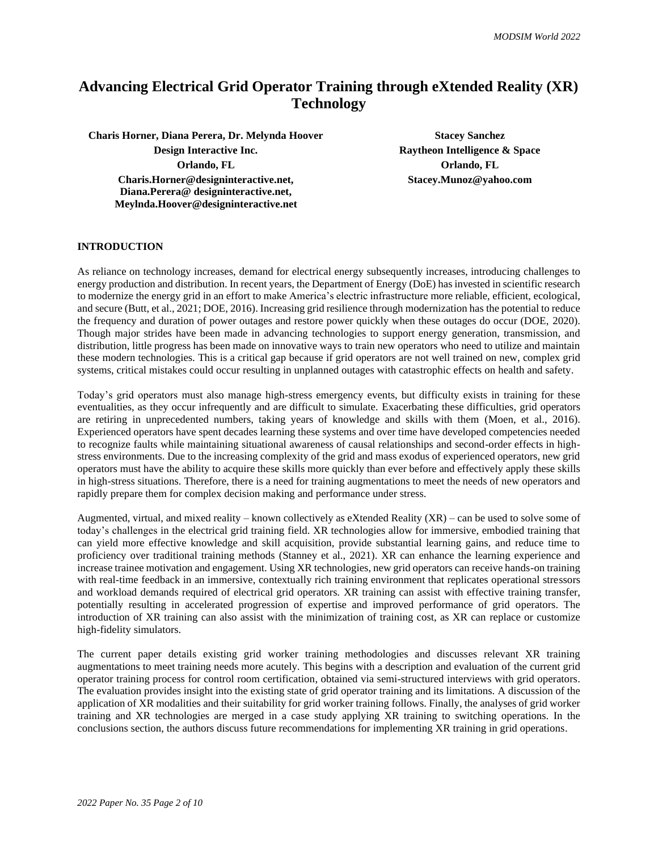# **Advancing Electrical Grid Operator Training through eXtended Reality (XR) Technology**

**Charis Horner, Diana Perera, Dr. Melynda Hoover Stacey Sanchez Stacey Sanchez Design Interactive Inc. Raytheon Intelligence & Space Orlando, FL Orlando, FL Charis.Horner@designinteractive.net, Diana.Perera@ designinteractive.net, Meylnda.Hoover@designinteractive.net**

**Stacey.Munoz@yahoo.com**

## **INTRODUCTION**

As reliance on technology increases, demand for electrical energy subsequently increases, introducing challenges to energy production and distribution. In recent years, the Department of Energy (DoE) has invested in scientific research to modernize the energy grid in an effort to make America's electric infrastructure more reliable, efficient, ecological, and secure (Butt, et al., 2021; DOE, 2016). Increasing grid resilience through modernization has the potential to reduce the frequency and duration of power outages and restore power quickly when these outages do occur (DOE, 2020). Though major strides have been made in advancing technologies to support energy generation, transmission, and distribution, little progress has been made on innovative ways to train new operators who need to utilize and maintain these modern technologies. This is a critical gap because if grid operators are not well trained on new, complex grid systems, critical mistakes could occur resulting in unplanned outages with catastrophic effects on health and safety.

Today's grid operators must also manage high-stress emergency events, but difficulty exists in training for these eventualities, as they occur infrequently and are difficult to simulate. Exacerbating these difficulties, grid operators are retiring in unprecedented numbers, taking years of knowledge and skills with them (Moen, et al., 2016). Experienced operators have spent decades learning these systems and over time have developed competencies needed to recognize faults while maintaining situational awareness of causal relationships and second-order effects in highstress environments. Due to the increasing complexity of the grid and mass exodus of experienced operators, new grid operators must have the ability to acquire these skills more quickly than ever before and effectively apply these skills in high-stress situations. Therefore, there is a need for training augmentations to meet the needs of new operators and rapidly prepare them for complex decision making and performance under stress.

Augmented, virtual, and mixed reality – known collectively as eXtended Reality  $(XR)$  – can be used to solve some of today's challenges in the electrical grid training field. XR technologies allow for immersive, embodied training that can yield more effective knowledge and skill acquisition, provide substantial learning gains, and reduce time to proficiency over traditional training methods (Stanney et al., 2021). XR can enhance the learning experience and increase trainee motivation and engagement. Using XR technologies, new grid operators can receive hands-on training with real-time feedback in an immersive, contextually rich training environment that replicates operational stressors and workload demands required of electrical grid operators. XR training can assist with effective training transfer, potentially resulting in accelerated progression of expertise and improved performance of grid operators. The introduction of XR training can also assist with the minimization of training cost, as XR can replace or customize high-fidelity simulators.

The current paper details existing grid worker training methodologies and discusses relevant XR training augmentations to meet training needs more acutely. This begins with a description and evaluation of the current grid operator training process for control room certification, obtained via semi-structured interviews with grid operators. The evaluation provides insight into the existing state of grid operator training and its limitations. A discussion of the application of XR modalities and their suitability for grid worker training follows. Finally, the analyses of grid worker training and XR technologies are merged in a case study applying XR training to switching operations. In the conclusions section, the authors discuss future recommendations for implementing XR training in grid operations.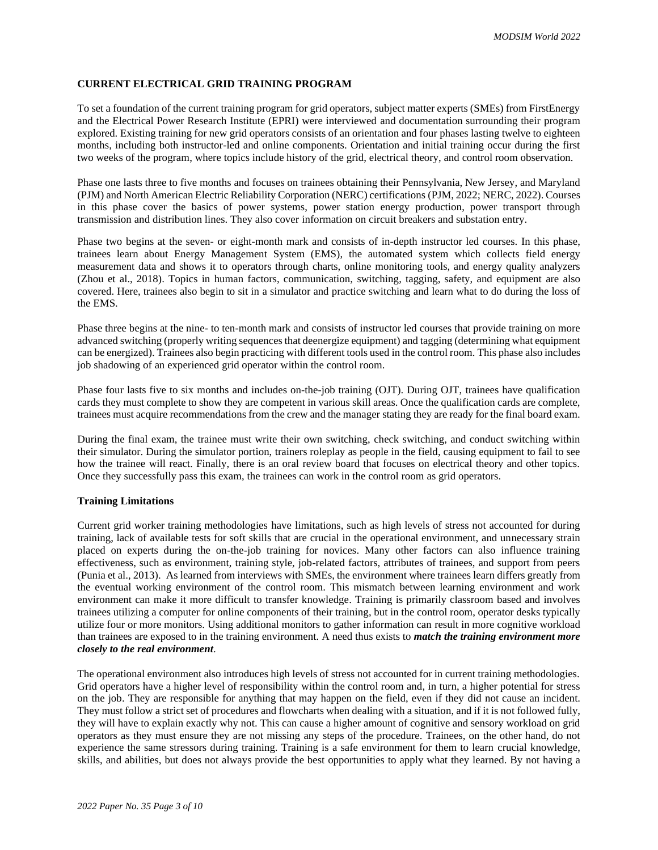## **CURRENT ELECTRICAL GRID TRAINING PROGRAM**

To set a foundation of the current training program for grid operators, subject matter experts (SMEs) from FirstEnergy and the Electrical Power Research Institute (EPRI) were interviewed and documentation surrounding their program explored. Existing training for new grid operators consists of an orientation and four phases lasting twelve to eighteen months, including both instructor-led and online components. Orientation and initial training occur during the first two weeks of the program, where topics include history of the grid, electrical theory, and control room observation.

Phase one lasts three to five months and focuses on trainees obtaining their Pennsylvania, New Jersey, and Maryland (PJM) and North American Electric Reliability Corporation (NERC) certifications (PJM, 2022; NERC, 2022). Courses in this phase cover the basics of power systems, power station energy production, power transport through transmission and distribution lines. They also cover information on circuit breakers and substation entry.

Phase two begins at the seven- or eight-month mark and consists of in-depth instructor led courses. In this phase, trainees learn about Energy Management System (EMS), the automated system which collects field energy measurement data and shows it to operators through charts, online monitoring tools, and energy quality analyzers (Zhou et al., 2018). Topics in human factors, communication, switching, tagging, safety, and equipment are also covered. Here, trainees also begin to sit in a simulator and practice switching and learn what to do during the loss of the EMS.

Phase three begins at the nine- to ten-month mark and consists of instructor led courses that provide training on more advanced switching (properly writing sequences that deenergize equipment) and tagging (determining what equipment can be energized). Trainees also begin practicing with different tools used in the control room. This phase also includes job shadowing of an experienced grid operator within the control room.

Phase four lasts five to six months and includes on-the-job training (OJT). During OJT, trainees have qualification cards they must complete to show they are competent in various skill areas. Once the qualification cards are complete, trainees must acquire recommendations from the crew and the manager stating they are ready for the final board exam.

During the final exam, the trainee must write their own switching, check switching, and conduct switching within their simulator. During the simulator portion, trainers roleplay as people in the field, causing equipment to fail to see how the trainee will react. Finally, there is an oral review board that focuses on electrical theory and other topics. Once they successfully pass this exam, the trainees can work in the control room as grid operators.

#### **Training Limitations**

Current grid worker training methodologies have limitations, such as high levels of stress not accounted for during training, lack of available tests for soft skills that are crucial in the operational environment, and unnecessary strain placed on experts during the on-the-job training for novices. Many other factors can also influence training effectiveness, such as environment, training style, job-related factors, attributes of trainees, and support from peers (Punia et al., 2013). As learned from interviews with SMEs, the environment where trainees learn differs greatly from the eventual working environment of the control room. This mismatch between learning environment and work environment can make it more difficult to transfer knowledge. Training is primarily classroom based and involves trainees utilizing a computer for online components of their training, but in the control room, operator desks typically utilize four or more monitors. Using additional monitors to gather information can result in more cognitive workload than trainees are exposed to in the training environment. A need thus exists to *match the training environment more closely to the real environment*.

The operational environment also introduces high levels of stress not accounted for in current training methodologies. Grid operators have a higher level of responsibility within the control room and, in turn, a higher potential for stress on the job. They are responsible for anything that may happen on the field, even if they did not cause an incident. They must follow a strict set of procedures and flowcharts when dealing with a situation, and if it is not followed fully, they will have to explain exactly why not. This can cause a higher amount of cognitive and sensory workload on grid operators as they must ensure they are not missing any steps of the procedure. Trainees, on the other hand, do not experience the same stressors during training. Training is a safe environment for them to learn crucial knowledge, skills, and abilities, but does not always provide the best opportunities to apply what they learned. By not having a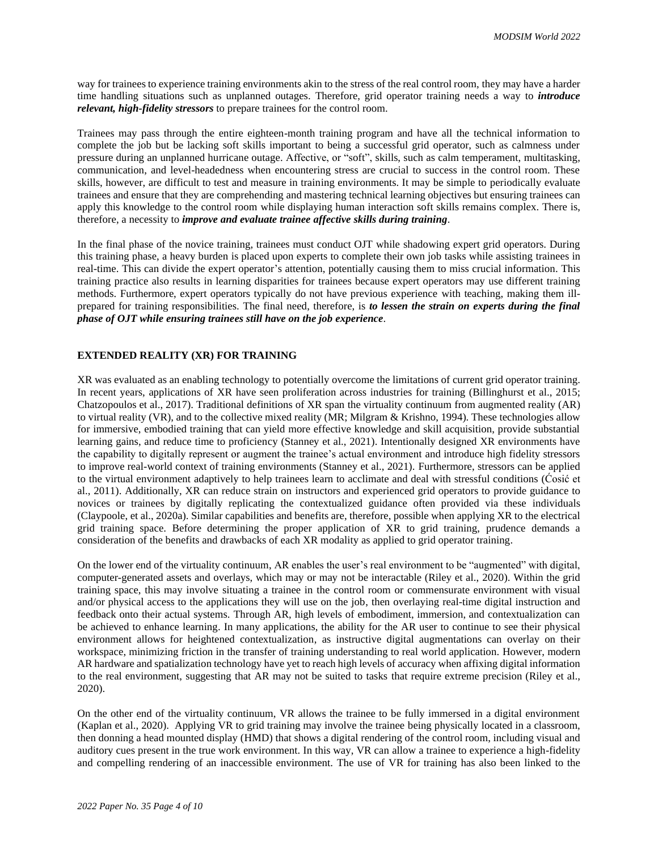way for trainees to experience training environments akin to the stress of the real control room, they may have a harder time handling situations such as unplanned outages. Therefore, grid operator training needs a way to *introduce relevant, high-fidelity stressors* to prepare trainees for the control room.

Trainees may pass through the entire eighteen-month training program and have all the technical information to complete the job but be lacking soft skills important to being a successful grid operator, such as calmness under pressure during an unplanned hurricane outage. Affective, or "soft", skills, such as calm temperament, multitasking, communication, and level-headedness when encountering stress are crucial to success in the control room. These skills, however, are difficult to test and measure in training environments. It may be simple to periodically evaluate trainees and ensure that they are comprehending and mastering technical learning objectives but ensuring trainees can apply this knowledge to the control room while displaying human interaction soft skills remains complex. There is, therefore, a necessity to *improve and evaluate trainee affective skills during training*.

In the final phase of the novice training, trainees must conduct OJT while shadowing expert grid operators. During this training phase, a heavy burden is placed upon experts to complete their own job tasks while assisting trainees in real-time. This can divide the expert operator's attention, potentially causing them to miss crucial information. This training practice also results in learning disparities for trainees because expert operators may use different training methods. Furthermore, expert operators typically do not have previous experience with teaching, making them illprepared for training responsibilities. The final need, therefore, is *to lessen the strain on experts during the final phase of OJT while ensuring trainees still have on the job experience*.

## **EXTENDED REALITY (XR) FOR TRAINING**

XR was evaluated as an enabling technology to potentially overcome the limitations of current grid operator training. In recent years, applications of XR have seen proliferation across industries for training (Billinghurst et al., 2015; Chatzopoulos et al., 2017). Traditional definitions of XR span the virtuality continuum from augmented reality (AR) to virtual reality (VR), and to the collective mixed reality (MR; Milgram & Krishno, 1994). These technologies allow for immersive, embodied training that can yield more effective knowledge and skill acquisition, provide substantial learning gains, and reduce time to proficiency (Stanney et al., 2021). Intentionally designed XR environments have the capability to digitally represent or augment the trainee's actual environment and introduce high fidelity stressors to improve real-world context of training environments (Stanney et al., 2021). Furthermore, stressors can be applied to the virtual environment adaptively to help trainees learn to acclimate and deal with stressful conditions (Ćosić et al., 2011). Additionally, XR can reduce strain on instructors and experienced grid operators to provide guidance to novices or trainees by digitally replicating the contextualized guidance often provided via these individuals (Claypoole, et al., 2020a). Similar capabilities and benefits are, therefore, possible when applying XR to the electrical grid training space. Before determining the proper application of XR to grid training, prudence demands a consideration of the benefits and drawbacks of each XR modality as applied to grid operator training.

On the lower end of the virtuality continuum, AR enables the user's real environment to be "augmented" with digital, computer-generated assets and overlays, which may or may not be interactable (Riley et al., 2020). Within the grid training space, this may involve situating a trainee in the control room or commensurate environment with visual and/or physical access to the applications they will use on the job, then overlaying real-time digital instruction and feedback onto their actual systems. Through AR, high levels of embodiment, immersion, and contextualization can be achieved to enhance learning. In many applications, the ability for the AR user to continue to see their physical environment allows for heightened contextualization, as instructive digital augmentations can overlay on their workspace, minimizing friction in the transfer of training understanding to real world application. However, modern AR hardware and spatialization technology have yet to reach high levels of accuracy when affixing digital information to the real environment, suggesting that AR may not be suited to tasks that require extreme precision (Riley et al., 2020).

On the other end of the virtuality continuum, VR allows the trainee to be fully immersed in a digital environment (Kaplan et al., 2020). Applying VR to grid training may involve the trainee being physically located in a classroom, then donning a head mounted display (HMD) that shows a digital rendering of the control room, including visual and auditory cues present in the true work environment. In this way, VR can allow a trainee to experience a high-fidelity and compelling rendering of an inaccessible environment. The use of VR for training has also been linked to the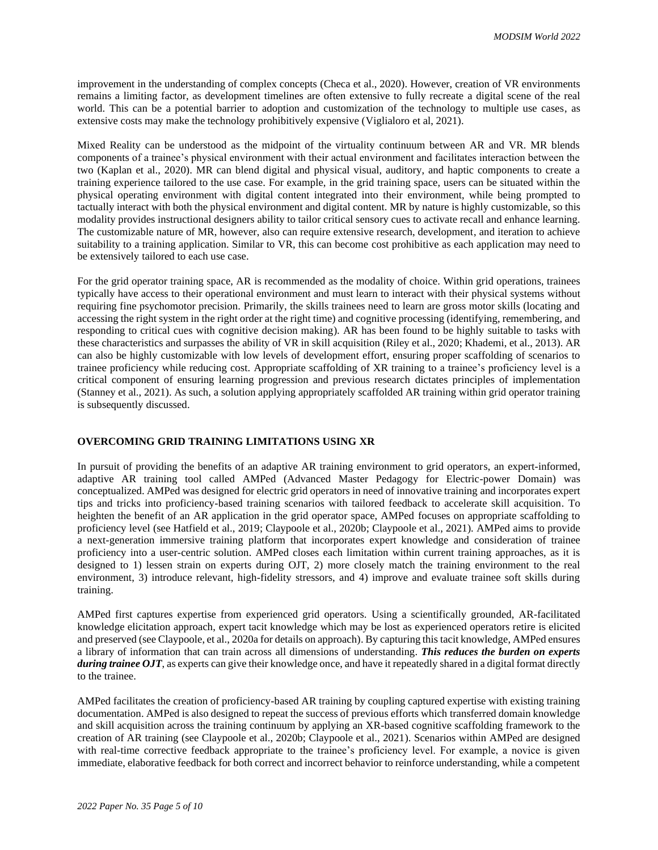improvement in the understanding of complex concepts (Checa et al., 2020). However, creation of VR environments remains a limiting factor, as development timelines are often extensive to fully recreate a digital scene of the real world. This can be a potential barrier to adoption and customization of the technology to multiple use cases, as extensive costs may make the technology prohibitively expensive (Viglialoro et al, 2021).

Mixed Reality can be understood as the midpoint of the virtuality continuum between AR and VR. MR blends components of a trainee's physical environment with their actual environment and facilitates interaction between the two (Kaplan et al., 2020). MR can blend digital and physical visual, auditory, and haptic components to create a training experience tailored to the use case. For example, in the grid training space, users can be situated within the physical operating environment with digital content integrated into their environment, while being prompted to tactually interact with both the physical environment and digital content. MR by nature is highly customizable, so this modality provides instructional designers ability to tailor critical sensory cues to activate recall and enhance learning. The customizable nature of MR, however, also can require extensive research, development, and iteration to achieve suitability to a training application. Similar to VR, this can become cost prohibitive as each application may need to be extensively tailored to each use case.

For the grid operator training space, AR is recommended as the modality of choice. Within grid operations, trainees typically have access to their operational environment and must learn to interact with their physical systems without requiring fine psychomotor precision. Primarily, the skills trainees need to learn are gross motor skills (locating and accessing the right system in the right order at the right time) and cognitive processing (identifying, remembering, and responding to critical cues with cognitive decision making). AR has been found to be highly suitable to tasks with these characteristics and surpasses the ability of VR in skill acquisition (Riley et al., 2020; Khademi, et al., 2013). AR can also be highly customizable with low levels of development effort, ensuring proper scaffolding of scenarios to trainee proficiency while reducing cost. Appropriate scaffolding of XR training to a trainee's proficiency level is a critical component of ensuring learning progression and previous research dictates principles of implementation (Stanney et al., 2021). As such, a solution applying appropriately scaffolded AR training within grid operator training is subsequently discussed.

## **OVERCOMING GRID TRAINING LIMITATIONS USING XR**

In pursuit of providing the benefits of an adaptive AR training environment to grid operators, an expert-informed, adaptive AR training tool called AMPed (Advanced Master Pedagogy for Electric-power Domain) was conceptualized. AMPed was designed for electric grid operators in need of innovative training and incorporates expert tips and tricks into proficiency-based training scenarios with tailored feedback to accelerate skill acquisition. To heighten the benefit of an AR application in the grid operator space, AMPed focuses on appropriate scaffolding to proficiency level (see Hatfield et al., 2019; Claypoole et al., 2020b; Claypoole et al., 2021). AMPed aims to provide a next-generation immersive training platform that incorporates expert knowledge and consideration of trainee proficiency into a user-centric solution. AMPed closes each limitation within current training approaches, as it is designed to 1) lessen strain on experts during OJT, 2) more closely match the training environment to the real environment, 3) introduce relevant, high-fidelity stressors, and 4) improve and evaluate trainee soft skills during training.

AMPed first captures expertise from experienced grid operators. Using a scientifically grounded, AR-facilitated knowledge elicitation approach, expert tacit knowledge which may be lost as experienced operators retire is elicited and preserved (see Claypoole, et al., 2020a for details on approach). By capturing this tacit knowledge, AMPed ensures a library of information that can train across all dimensions of understanding. *This reduces the burden on experts during trainee OJT*, as experts can give their knowledge once, and have it repeatedly shared in a digital format directly to the trainee.

AMPed facilitates the creation of proficiency-based AR training by coupling captured expertise with existing training documentation. AMPed is also designed to repeat the success of previous efforts which transferred domain knowledge and skill acquisition across the training continuum by applying an XR-based cognitive scaffolding framework to the creation of AR training (see Claypoole et al., 2020b; Claypoole et al., 2021). Scenarios within AMPed are designed with real-time corrective feedback appropriate to the trainee's proficiency level. For example, a novice is given immediate, elaborative feedback for both correct and incorrect behavior to reinforce understanding, while a competent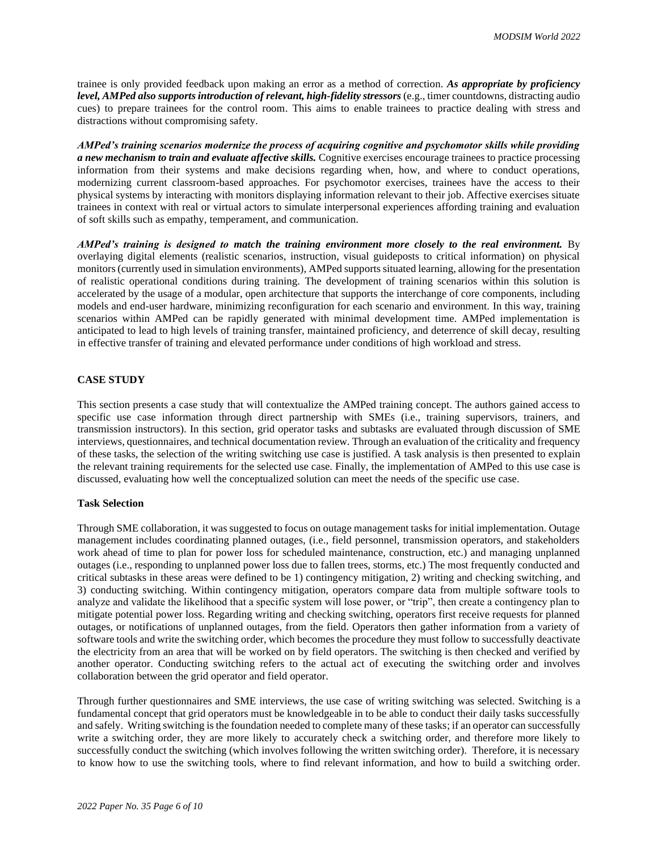trainee is only provided feedback upon making an error as a method of correction. *As appropriate by proficiency level, AMPed also supports introduction of relevant, high-fidelity stressors* (e.g., timer countdowns, distracting audio cues) to prepare trainees for the control room. This aims to enable trainees to practice dealing with stress and distractions without compromising safety.

*AMPed's training scenarios modernize the process of acquiring cognitive and psychomotor skills while providing a new mechanism to train and evaluate affective skills.* Cognitive exercises encourage trainees to practice processing information from their systems and make decisions regarding when, how, and where to conduct operations, modernizing current classroom-based approaches. For psychomotor exercises, trainees have the access to their physical systems by interacting with monitors displaying information relevant to their job. Affective exercises situate trainees in context with real or virtual actors to simulate interpersonal experiences affording training and evaluation of soft skills such as empathy, temperament, and communication.

*AMPed's training is designed to match the training environment more closely to the real environment.* By overlaying digital elements (realistic scenarios, instruction, visual guideposts to critical information) on physical monitors (currently used in simulation environments), AMPed supports situated learning, allowing for the presentation of realistic operational conditions during training. The development of training scenarios within this solution is accelerated by the usage of a modular, open architecture that supports the interchange of core components, including models and end-user hardware, minimizing reconfiguration for each scenario and environment. In this way, training scenarios within AMPed can be rapidly generated with minimal development time. AMPed implementation is anticipated to lead to high levels of training transfer, maintained proficiency, and deterrence of skill decay, resulting in effective transfer of training and elevated performance under conditions of high workload and stress.

## **CASE STUDY**

This section presents a case study that will contextualize the AMPed training concept. The authors gained access to specific use case information through direct partnership with SMEs (i.e., training supervisors, trainers, and transmission instructors). In this section, grid operator tasks and subtasks are evaluated through discussion of SME interviews, questionnaires, and technical documentation review. Through an evaluation of the criticality and frequency of these tasks, the selection of the writing switching use case is justified. A task analysis is then presented to explain the relevant training requirements for the selected use case. Finally, the implementation of AMPed to this use case is discussed, evaluating how well the conceptualized solution can meet the needs of the specific use case.

## **Task Selection**

Through SME collaboration, it was suggested to focus on outage management tasks for initial implementation. Outage management includes coordinating planned outages, (i.e., field personnel, transmission operators, and stakeholders work ahead of time to plan for power loss for scheduled maintenance, construction, etc.) and managing unplanned outages (i.e., responding to unplanned power loss due to fallen trees, storms, etc.) The most frequently conducted and critical subtasks in these areas were defined to be 1) contingency mitigation, 2) writing and checking switching, and 3) conducting switching. Within contingency mitigation, operators compare data from multiple software tools to analyze and validate the likelihood that a specific system will lose power, or "trip", then create a contingency plan to mitigate potential power loss. Regarding writing and checking switching, operators first receive requests for planned outages, or notifications of unplanned outages, from the field. Operators then gather information from a variety of software tools and write the switching order, which becomes the procedure they must follow to successfully deactivate the electricity from an area that will be worked on by field operators. The switching is then checked and verified by another operator. Conducting switching refers to the actual act of executing the switching order and involves collaboration between the grid operator and field operator.

Through further questionnaires and SME interviews, the use case of writing switching was selected. Switching is a fundamental concept that grid operators must be knowledgeable in to be able to conduct their daily tasks successfully and safely. Writing switching is the foundation needed to complete many of these tasks; if an operator can successfully write a switching order, they are more likely to accurately check a switching order, and therefore more likely to successfully conduct the switching (which involves following the written switching order). Therefore, it is necessary to know how to use the switching tools, where to find relevant information, and how to build a switching order.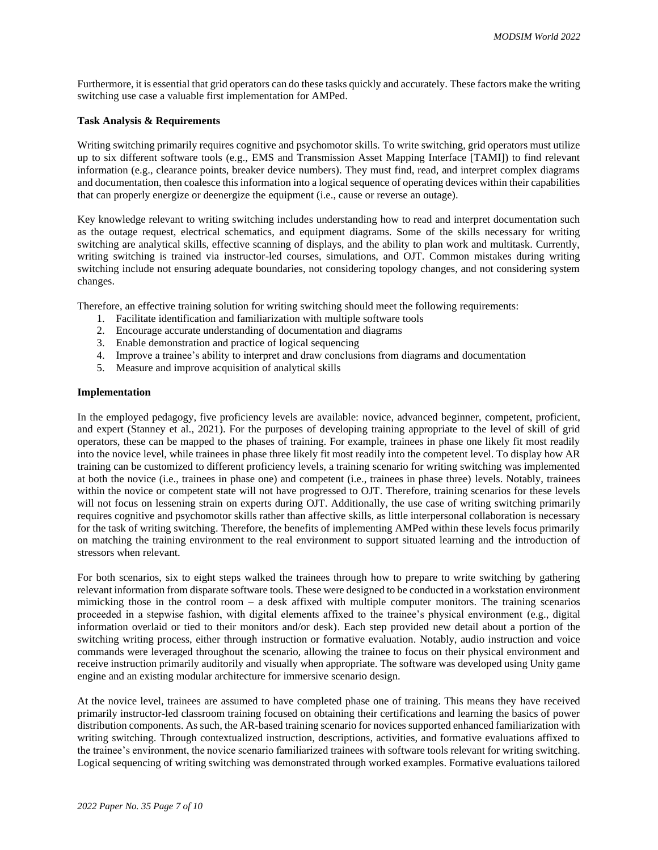Furthermore, it is essential that grid operators can do these tasks quickly and accurately. These factors make the writing switching use case a valuable first implementation for AMPed.

#### **Task Analysis & Requirements**

Writing switching primarily requires cognitive and psychomotor skills. To write switching, grid operators must utilize up to six different software tools (e.g., EMS and Transmission Asset Mapping Interface [TAMI]) to find relevant information (e.g., clearance points, breaker device numbers). They must find, read, and interpret complex diagrams and documentation, then coalesce this information into a logical sequence of operating devices within their capabilities that can properly energize or deenergize the equipment (i.e., cause or reverse an outage).

Key knowledge relevant to writing switching includes understanding how to read and interpret documentation such as the outage request, electrical schematics, and equipment diagrams. Some of the skills necessary for writing switching are analytical skills, effective scanning of displays, and the ability to plan work and multitask. Currently, writing switching is trained via instructor-led courses, simulations, and OJT. Common mistakes during writing switching include not ensuring adequate boundaries, not considering topology changes, and not considering system changes.

Therefore, an effective training solution for writing switching should meet the following requirements:

- 1. Facilitate identification and familiarization with multiple software tools
- 2. Encourage accurate understanding of documentation and diagrams
- 3. Enable demonstration and practice of logical sequencing
- 4. Improve a trainee's ability to interpret and draw conclusions from diagrams and documentation
- 5. Measure and improve acquisition of analytical skills

#### **Implementation**

In the employed pedagogy, five proficiency levels are available: novice, advanced beginner, competent, proficient, and expert (Stanney et al., 2021). For the purposes of developing training appropriate to the level of skill of grid operators, these can be mapped to the phases of training. For example, trainees in phase one likely fit most readily into the novice level, while trainees in phase three likely fit most readily into the competent level. To display how AR training can be customized to different proficiency levels, a training scenario for writing switching was implemented at both the novice (i.e., trainees in phase one) and competent (i.e., trainees in phase three) levels. Notably, trainees within the novice or competent state will not have progressed to OJT. Therefore, training scenarios for these levels will not focus on lessening strain on experts during OJT. Additionally, the use case of writing switching primarily requires cognitive and psychomotor skills rather than affective skills, as little interpersonal collaboration is necessary for the task of writing switching. Therefore, the benefits of implementing AMPed within these levels focus primarily on matching the training environment to the real environment to support situated learning and the introduction of stressors when relevant.

For both scenarios, six to eight steps walked the trainees through how to prepare to write switching by gathering relevant information from disparate software tools. These were designed to be conducted in a workstation environment mimicking those in the control room – a desk affixed with multiple computer monitors. The training scenarios proceeded in a stepwise fashion, with digital elements affixed to the trainee's physical environment (e.g., digital information overlaid or tied to their monitors and/or desk). Each step provided new detail about a portion of the switching writing process, either through instruction or formative evaluation. Notably, audio instruction and voice commands were leveraged throughout the scenario, allowing the trainee to focus on their physical environment and receive instruction primarily auditorily and visually when appropriate. The software was developed using Unity game engine and an existing modular architecture for immersive scenario design.

At the novice level, trainees are assumed to have completed phase one of training. This means they have received primarily instructor-led classroom training focused on obtaining their certifications and learning the basics of power distribution components. As such, the AR-based training scenario for novices supported enhanced familiarization with writing switching. Through contextualized instruction, descriptions, activities, and formative evaluations affixed to the trainee's environment, the novice scenario familiarized trainees with software tools relevant for writing switching. Logical sequencing of writing switching was demonstrated through worked examples. Formative evaluations tailored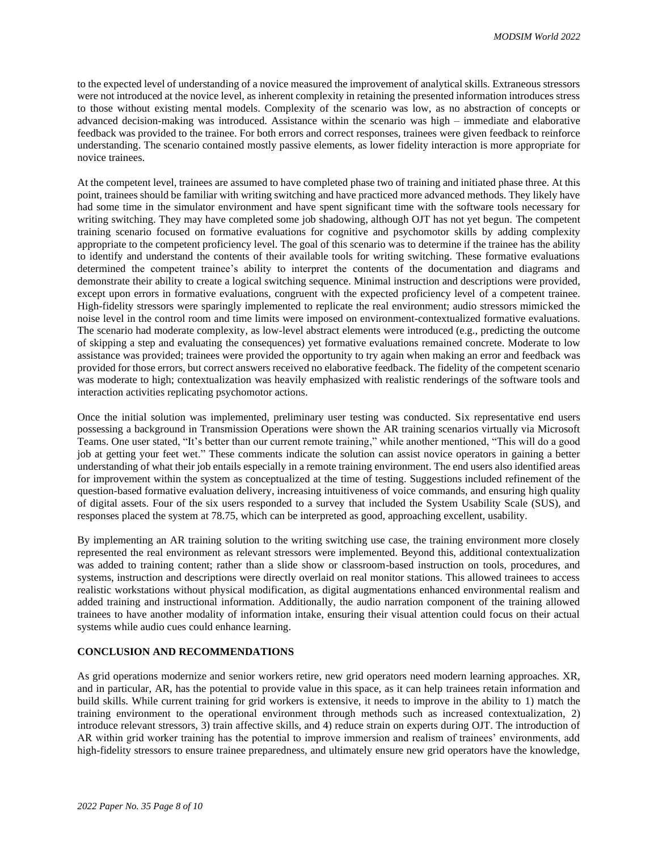to the expected level of understanding of a novice measured the improvement of analytical skills. Extraneous stressors were not introduced at the novice level, as inherent complexity in retaining the presented information introduces stress to those without existing mental models. Complexity of the scenario was low, as no abstraction of concepts or advanced decision-making was introduced. Assistance within the scenario was high – immediate and elaborative feedback was provided to the trainee. For both errors and correct responses, trainees were given feedback to reinforce understanding. The scenario contained mostly passive elements, as lower fidelity interaction is more appropriate for novice trainees.

At the competent level, trainees are assumed to have completed phase two of training and initiated phase three. At this point, trainees should be familiar with writing switching and have practiced more advanced methods. They likely have had some time in the simulator environment and have spent significant time with the software tools necessary for writing switching. They may have completed some job shadowing, although OJT has not yet begun. The competent training scenario focused on formative evaluations for cognitive and psychomotor skills by adding complexity appropriate to the competent proficiency level. The goal of this scenario was to determine if the trainee has the ability to identify and understand the contents of their available tools for writing switching. These formative evaluations determined the competent trainee's ability to interpret the contents of the documentation and diagrams and demonstrate their ability to create a logical switching sequence. Minimal instruction and descriptions were provided, except upon errors in formative evaluations, congruent with the expected proficiency level of a competent trainee. High-fidelity stressors were sparingly implemented to replicate the real environment; audio stressors mimicked the noise level in the control room and time limits were imposed on environment-contextualized formative evaluations. The scenario had moderate complexity, as low-level abstract elements were introduced (e.g., predicting the outcome of skipping a step and evaluating the consequences) yet formative evaluations remained concrete. Moderate to low assistance was provided; trainees were provided the opportunity to try again when making an error and feedback was provided for those errors, but correct answers received no elaborative feedback. The fidelity of the competent scenario was moderate to high; contextualization was heavily emphasized with realistic renderings of the software tools and interaction activities replicating psychomotor actions.

Once the initial solution was implemented, preliminary user testing was conducted. Six representative end users possessing a background in Transmission Operations were shown the AR training scenarios virtually via Microsoft Teams. One user stated, "It's better than our current remote training," while another mentioned, "This will do a good job at getting your feet wet." These comments indicate the solution can assist novice operators in gaining a better understanding of what their job entails especially in a remote training environment. The end users also identified areas for improvement within the system as conceptualized at the time of testing. Suggestions included refinement of the question-based formative evaluation delivery, increasing intuitiveness of voice commands, and ensuring high quality of digital assets. Four of the six users responded to a survey that included the System Usability Scale (SUS), and responses placed the system at 78.75, which can be interpreted as good, approaching excellent, usability.

By implementing an AR training solution to the writing switching use case, the training environment more closely represented the real environment as relevant stressors were implemented. Beyond this, additional contextualization was added to training content; rather than a slide show or classroom-based instruction on tools, procedures, and systems, instruction and descriptions were directly overlaid on real monitor stations. This allowed trainees to access realistic workstations without physical modification, as digital augmentations enhanced environmental realism and added training and instructional information. Additionally, the audio narration component of the training allowed trainees to have another modality of information intake, ensuring their visual attention could focus on their actual systems while audio cues could enhance learning.

#### **CONCLUSION AND RECOMMENDATIONS**

As grid operations modernize and senior workers retire, new grid operators need modern learning approaches. XR, and in particular, AR, has the potential to provide value in this space, as it can help trainees retain information and build skills. While current training for grid workers is extensive, it needs to improve in the ability to 1) match the training environment to the operational environment through methods such as increased contextualization, 2) introduce relevant stressors, 3) train affective skills, and 4) reduce strain on experts during OJT. The introduction of AR within grid worker training has the potential to improve immersion and realism of trainees' environments, add high-fidelity stressors to ensure trainee preparedness, and ultimately ensure new grid operators have the knowledge,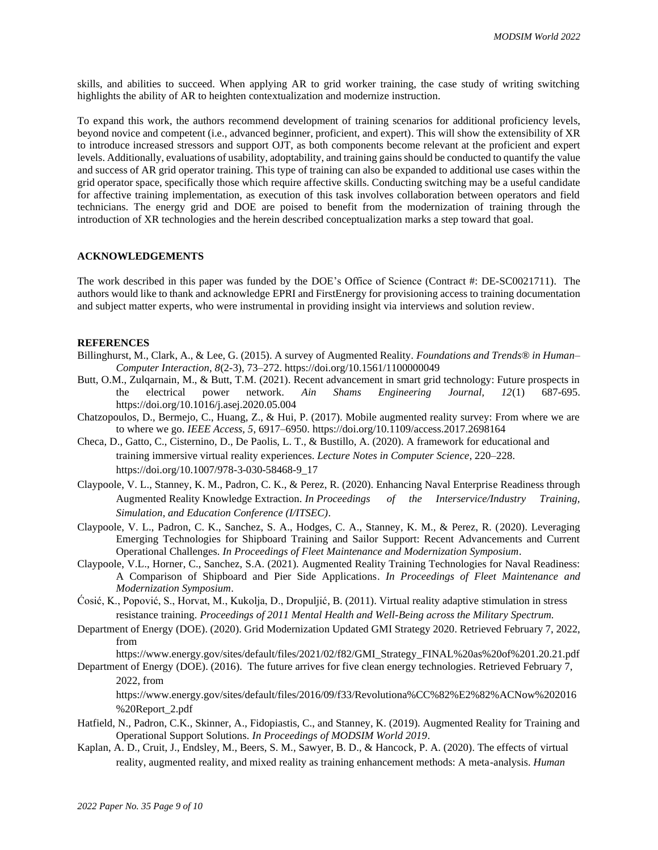skills, and abilities to succeed. When applying AR to grid worker training, the case study of writing switching highlights the ability of AR to heighten contextualization and modernize instruction.

To expand this work, the authors recommend development of training scenarios for additional proficiency levels, beyond novice and competent (i.e., advanced beginner, proficient, and expert). This will show the extensibility of XR to introduce increased stressors and support OJT, as both components become relevant at the proficient and expert levels. Additionally, evaluations of usability, adoptability, and training gains should be conducted to quantify the value and success of AR grid operator training. This type of training can also be expanded to additional use cases within the grid operator space, specifically those which require affective skills. Conducting switching may be a useful candidate for affective training implementation, as execution of this task involves collaboration between operators and field technicians. The energy grid and DOE are poised to benefit from the modernization of training through the introduction of XR technologies and the herein described conceptualization marks a step toward that goal.

#### **ACKNOWLEDGEMENTS**

The work described in this paper was funded by the DOE's Office of Science (Contract #: DE-SC0021711). The authors would like to thank and acknowledge EPRI and FirstEnergy for provisioning access to training documentation and subject matter experts, who were instrumental in providing insight via interviews and solution review.

## **REFERENCES**

- Billinghurst, M., Clark, A., & Lee, G. (2015). A survey of Augmented Reality. *Foundations and Trends® in Human– Computer Interaction, 8*(2-3), 73–272.<https://doi.org/10.1561/1100000049>
- Butt, O.M., Zulqarnain, M., & Butt, T.M. (2021). Recent advancement in smart grid technology: Future prospects in the electrical power network. Ain Shams Engineering Journal, 12(1) 687-695. the electrical power network. *Ain Shams Engineering Journal, 12*(1) 687-695. <https://doi.org/10.1016/j.asej.2020.05.004>
- Chatzopoulos, D., Bermejo, C., Huang, Z., & Hui, P. (2017). Mobile augmented reality survey: From where we are to where we go. *IEEE Access, 5*, 6917–6950[. https://doi.org/10.1109/access.2017.2698164](https://doi.org/10.1109/access.2017.2698164)
- Checa, D., Gatto, C., Cisternino, D., De Paolis, L. T., & Bustillo, A. (2020). A framework for educational and training immersive virtual reality experiences. *Lecture Notes in Computer Science*, 220–228. [https://doi.org/10.1007/978-3-030-58468-9\\_17](https://doi.org/10.1007/978-3-030-58468-9_17)
- Claypoole, V. L., Stanney, K. M., Padron, C. K., & Perez, R. (2020). Enhancing Naval Enterprise Readiness through Augmented Reality Knowledge Extraction. *In Proceedings of the Interservice/Industry Training, Simulation, and Education Conference (I/ITSEC)*.
- Claypoole, V. L., Padron, C. K., Sanchez, S. A., Hodges, C. A., Stanney, K. M., & Perez, R. (2020). Leveraging Emerging Technologies for Shipboard Training and Sailor Support: Recent Advancements and Current Operational Challenges. *In Proceedings of Fleet Maintenance and Modernization Symposium*.
- Claypoole, V.L., Horner, C., Sanchez, S.A. (2021). Augmented Reality Training Technologies for Naval Readiness: A Comparison of Shipboard and Pier Side Applications. *In Proceedings of Fleet Maintenance and Modernization Symposium*.
- Ćosić, K., Popović, S., Horvat, M., Kukolja, D., Dropuljić, B. (2011). Virtual reality adaptive stimulation in stress resistance training. *Proceedings of 2011 Mental Health and Well-Being across the Military Spectrum.*
- Department of Energy (DOE). (2020). Grid Modernization Updated GMI Strategy 2020. Retrieved February 7, 2022, from

https://www.energy.gov/sites/default/files/2021/02/f82/GMI\_Strategy\_FINAL%20as%20of%201.20.21.pdf Department of Energy (DOE). (2016). The future arrives for five clean energy technologies. Retrieved February 7,

2022, from

[https://www.energy.gov/sites/default/files/2016/09/f33/Revolutiona%CC%82%E2%82%ACNow%202016](https://www.energy.gov/sites/default/files/2016/09/f33/Revolutiona%CC%82%E2%82%ACNow%202016%20Report_2.pdf) [%20Report\\_2.pdf](https://www.energy.gov/sites/default/files/2016/09/f33/Revolutiona%CC%82%E2%82%ACNow%202016%20Report_2.pdf)

- Hatfield, N., Padron, C.K., Skinner, A., Fidopiastis, C., and Stanney, K. (2019). Augmented Reality for Training and Operational Support Solutions. *In Proceedings of MODSIM World 2019*.
- Kaplan, A. D., Cruit, J., Endsley, M., Beers, S. M., Sawyer, B. D., & Hancock, P. A. (2020). The effects of virtual reality, augmented reality, and mixed reality as training enhancement methods: A meta-analysis. *Human*